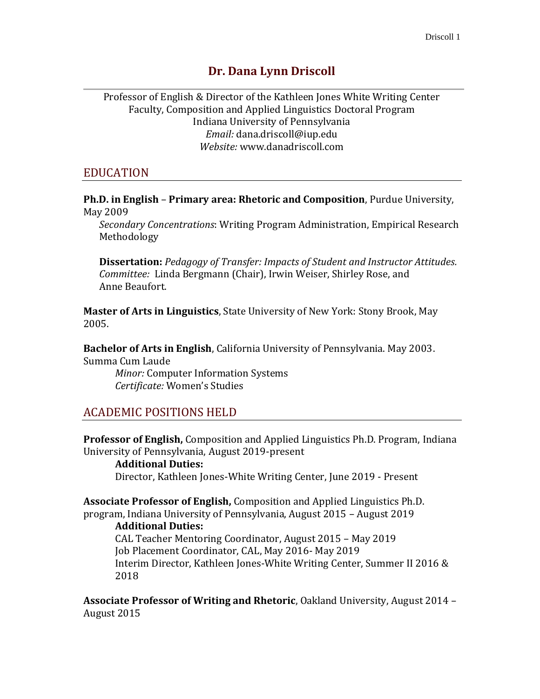# **Dr. Dana Lynn Driscoll**

Professor of English & Director of the Kathleen Jones White Writing Center Faculty, Composition and Applied Linguistics Doctoral Program Indiana University of Pennsylvania *Email:* [dana.driscoll@iup.edu](mailto:dana.driscoll@iup.edu) *Website:* [www.danadriscoll.com](http://www.danadriscoll.com/)

### EDUCATION

**Ph.D. in English** – **Primary area: Rhetoric and Composition**, Purdue University, May 2009

*Secondary Concentrations*: Writing Program Administration, Empirical Research Methodology

**Dissertation:** *Pedagogy of Transfer: Impacts of Student and Instructor Attitudes. Committee:* Linda Bergmann (Chair), Irwin Weiser, Shirley Rose, and Anne Beaufort.

**Master of Arts in Linguistics**, State University of New York: Stony Brook, May 2005.

**Bachelor of Arts in English**, California University of Pennsylvania. May 2003. Summa Cum Laude

*Minor:* Computer Information Systems *Certificate:* Women's Studies

# ACADEMIC POSITIONS HELD

**Professor of English,** Composition and Applied Linguistics Ph.D. Program, Indiana University of Pennsylvania, August 2019-present

**Additional Duties:**  Director, Kathleen Jones-White Writing Center, June 2019 - Present

**Associate Professor of English,** Composition and Applied Linguistics Ph.D. program, Indiana University of Pennsylvania, August 2015 – August 2019

#### **Additional Duties:**

CAL Teacher Mentoring Coordinator, August 2015 – May 2019 Job Placement Coordinator, CAL, May 2016- May 2019 Interim Director, Kathleen Jones-White Writing Center, Summer II 2016 & 2018

**Associate Professor of Writing and Rhetoric**, Oakland University, August 2014 – August 2015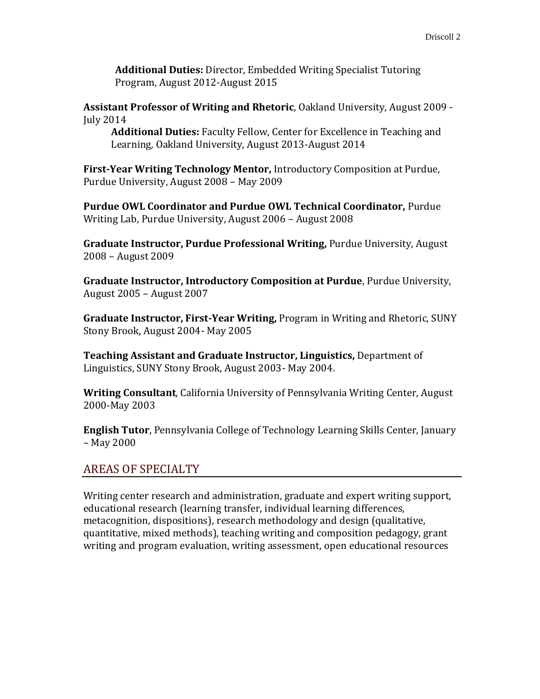**Additional Duties:** Director, Embedded Writing Specialist Tutoring Program, August 2012-August 2015

**Assistant Professor of Writing and Rhetoric**, Oakland University, August 2009 - July 2014

**Additional Duties:** Faculty Fellow, Center for Excellence in Teaching and Learning*,* Oakland University, August 2013-August 2014

**First-Year Writing Technology Mentor,** Introductory Composition at Purdue, Purdue University, August 2008 – May 2009

**Purdue OWL Coordinator and Purdue OWL Technical Coordinator,** Purdue Writing Lab, Purdue University, August 2006 – August 2008

**Graduate Instructor, Purdue Professional Writing,** Purdue University, August 2008 – August 2009

**Graduate Instructor, Introductory Composition at Purdue**, Purdue University, August 2005 – August 2007

**Graduate Instructor, First-Year Writing,** Program in Writing and Rhetoric, SUNY Stony Brook, August 2004- May 2005

**Teaching Assistant and Graduate Instructor, Linguistics,** Department of Linguistics, SUNY Stony Brook, August 2003- May 2004.

**Writing Consultant**, California University of Pennsylvania Writing Center, August 2000-May 2003

**English Tutor**, Pennsylvania College of Technology Learning Skills Center, January – May 2000

# AREAS OF SPECIALTY

Writing center research and administration, graduate and expert writing support, educational research (learning transfer, individual learning differences, metacognition, dispositions), research methodology and design (qualitative, quantitative, mixed methods), teaching writing and composition pedagogy, grant writing and program evaluation, writing assessment, open educational resources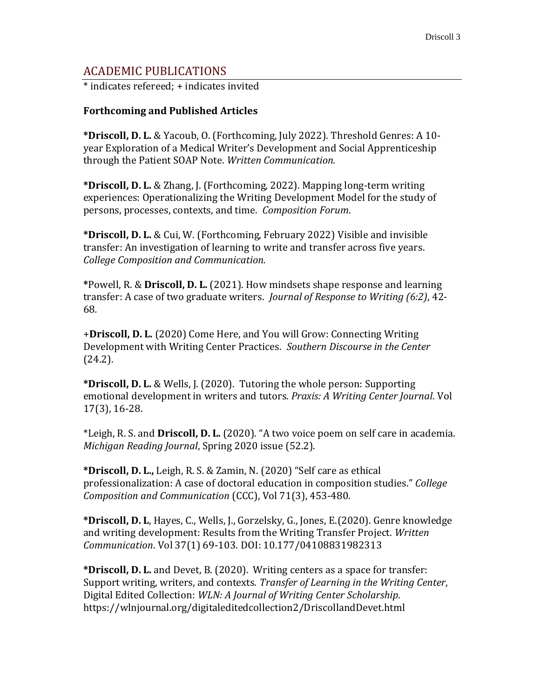# ACADEMIC PUBLICATIONS

\* indicates refereed; + indicates invited

#### **Forthcoming and Published Articles**

**\*Driscoll, D. L.** & Yacoub, O. (Forthcoming, July 2022). Threshold Genres: A 10 year Exploration of a Medical Writer's Development and Social Apprenticeship through the Patient SOAP Note. *Written Communication.*

**\*Driscoll, D. L.** & Zhang, J. (Forthcoming, 2022). Mapping long-term writing experiences: Operationalizing the Writing Development Model for the study of persons, processes, contexts, and time. *Composition Forum*.

**\*Driscoll, D. L.** & Cui, W. (Forthcoming, February 2022) Visible and invisible transfer: An investigation of learning to write and transfer across five years. *College Composition and Communication.*

**\***Powell, R. & **Driscoll, D. L.** (2021). How mindsets shape response and learning transfer: A case of two graduate writers. *Journal of Response to Writing (6:2)*, 42- 68*.* 

+**Driscoll, D. L.** (2020) Come Here, and You will Grow: Connecting Writing Development with Writing Center Practices. *Southern Discourse in the Center* (24.2).

**\*Driscoll, D. L.** & Wells, J. (2020). Tutoring the whole person: Supporting emotional development in writers and tutors. *Praxis: A Writing Center Journal*. Vol 17(3), 16-28.

\*Leigh, R. S. and **Driscoll, D. L.** (2020). "A two voice poem on self care in academia. *Michigan Reading Journal*, Spring 2020 issue (52.2).

**\*Driscoll, D. L.,** Leigh, R. S. & Zamin, N. (2020) "Self care as ethical professionalization: A case of doctoral education in composition studies." *College Composition and Communication* (CCC), Vol 71(3), 453-480.

**\*Driscoll, D. L**, Hayes, C., Wells, J., Gorzelsky, G., Jones, E.(2020). Genre knowledge and writing development: Results from the Writing Transfer Project. *Written Communication*. Vol 37(1) 69-103.pDOI: 10.177/04108831982313

**\*Driscoll, D. L.** and Devet, B. (2020). Writing centers as a space for transfer: Support writing, writers, and contexts. *Transfer of Learning in the Writing Center*, Digital Edited Collection: *WLN: A Journal of Writing Center Scholarship*. <https://wlnjournal.org/digitaleditedcollection2/DriscollandDevet.html>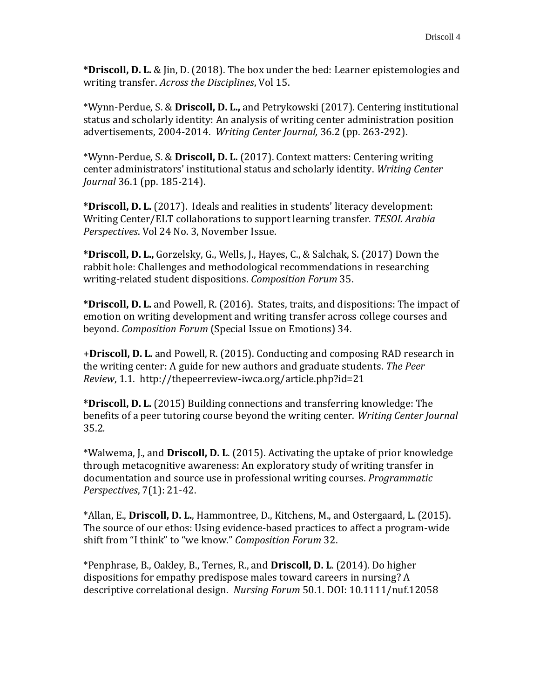**\*Driscoll, D. L.** & Jin, D. (2018). The box under the bed: Learner epistemologies and writing transfer. *Across the Disciplines*, Vol 15.

\*Wynn-Perdue, S. & **Driscoll, D. L.,** and Petrykowski (2017). Centering institutional status and scholarly identity: An analysis of writing center administration position advertisements, 2004-2014. *Writing Center Journal,* 36.2 (pp. 263-292).

\*Wynn-Perdue, S. & **Driscoll, D. L.** (2017). Context matters: Centering writing center administrators' institutional status and scholarly identity. *Writing Center Journal* 36.1 (pp. 185-214).

**\*Driscoll, D. L.** (2017). Ideals and realities in students' literacy development: Writing Center/ELT collaborations to support learning transfer*. TESOL Arabia Perspectives*. Vol 24 No. 3, November Issue.

**\*Driscoll, D. L.,** Gorzelsky, G., Wells, J., Hayes, C., & Salchak, S. (2017) Down the rabbit hole: Challenges and methodological recommendations in researching writing-related student dispositions. *Composition Forum* 35.

**\*Driscoll, D. L.** and Powell, R. (2016). States, traits, and dispositions: The impact of emotion on writing development and writing transfer across college courses and beyond. *Composition Forum* (Special Issue on Emotions) 34*.* 

+**Driscoll, D. L.** and Powell, R. (2015). Conducting and composing RAD research in the writing center: A guide for new authors and graduate students. *The Peer Review*, 1.1.<http://thepeerreview-iwca.org/article.php?id=21>

**\*Driscoll, D. L.** (2015) Building connections and transferring knowledge: The benefits of a peer tutoring course beyond the writing center. *Writing Center Journal*  35.2*.* 

\*Walwema, J., and **Driscoll, D. L**. (2015). Activating the uptake of prior knowledge through metacognitive awareness: An exploratory study of writing transfer in documentation and source use in professional writing courses. *Programmatic Perspectives*, 7(1): 21-42.

\*Allan, E., **Driscoll, D. L.**, Hammontree, D., Kitchens, M., and Ostergaard, L. (2015). The source of our ethos: Using evidence-based practices to affect a program-wide shift from "I think" to "we know." *Composition Forum* 32.

\*Penphrase, B., Oakley, B., Ternes, R., and **Driscoll, D. L**. (2014). Do higher dispositions for empathy predispose males toward careers in nursing? A descriptive correlational design. *Nursing Forum* 50.1. DOI: 10.1111/nuf.12058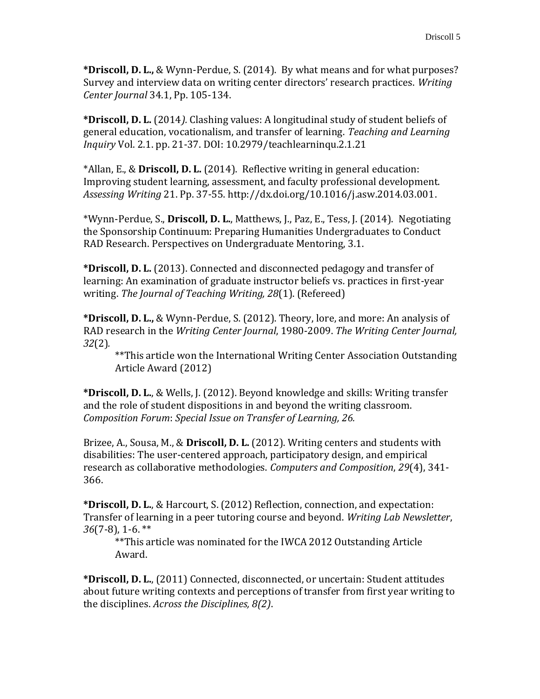**\*Driscoll, D. L.,** & Wynn-Perdue, S. (2014). By what means and for what purposes? Survey and interview data on writing center directors' research practices. *Writing Center Journal* 34.1, Pp. 105-134.

**\*Driscoll, D. L.** (2014*).* Clashing values: A longitudinal study of student beliefs of general education, vocationalism, and transfer of learning. *Teaching and Learning Inquiry* Vol. 2.1. pp. 21-37. DOI: 10.2979/teachlearninqu.2.1.21

\*Allan, E., & **Driscoll, D. L.** (2014). Reflective writing in general education: Improving student learning, assessment, and faculty professional development. *Assessing Writing* 21. Pp. 37-55. [http://dx.doi.org/10.1016/j.asw.2014.03.001.](http://dx.doi.org/10.1016/j.asw.2014.03.001)

\*Wynn-Perdue, S., **Driscoll, D. L.**, Matthews, J., Paz, E., Tess, J. (2014). Negotiating the Sponsorship Continuum: Preparing Humanities Undergraduates to Conduct RAD Research. Perspectives on Undergraduate Mentoring, 3.1.

**\*Driscoll, D. L.** (2013). Connected and disconnected pedagogy and transfer of learning: An examination of graduate instructor beliefs vs. practices in first-year writing. *The Journal of Teaching Writing, 28*(1). (Refereed)

**\*Driscoll, D. L.,** & Wynn-Perdue, S. (2012). Theory, lore, and more: An analysis of RAD research in the *Writing Center Journal*, 1980-2009. *The Writing Center Journal, 32*(2)*.* 

\*\*This article won the International Writing Center Association Outstanding Article Award (2012)

**\*Driscoll, D. L.**, & Wells, J. (2012). Beyond knowledge and skills: Writing transfer and the role of student dispositions in and beyond the writing classroom. *Composition Forum*: *Special Issue on Transfer of Learning, 26.*

Brizee, A., Sousa, M., & **Driscoll, D. L.** (2012). Writing centers and students with disabilities: The user-centered approach, participatory design, and empirical research as collaborative methodologies. *Computers and Composition*, *29*(4), 341- 366.

**\*Driscoll, D. L.**, & Harcourt, S. (2012) Reflection, connection, and expectation: Transfer of learning in a peer tutoring course and beyond. *Writing Lab Newsletter*, *36*(7-8), 1-6. \*\*

\*\*This article was nominated for the IWCA 2012 Outstanding Article Award.

**\*Driscoll, D. L.**, (2011) Connected, disconnected, or uncertain: Student attitudes about future writing contexts and perceptions of transfer from first year writing to the disciplines. *Across the Disciplines, 8(2)*.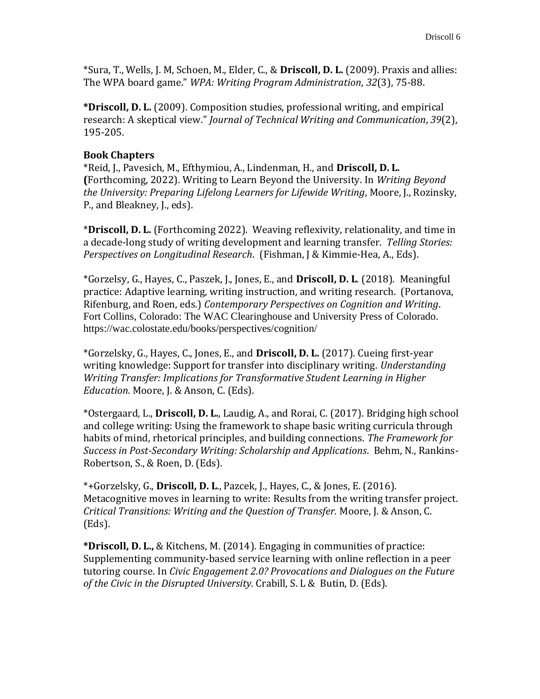\*Sura, T., Wells, J. M, Schoen, M., Elder, C., & **Driscoll, D. L.** (2009). Praxis and allies: The WPA board game." *WPA: Writing Program Administration*, *32*(3), 75-88.

**\*Driscoll, D. L.** (2009). Composition studies, professional writing, and empirical research: A skeptical view." *Journal of Technical Writing and Communication*, *39*(2), 195-205.

### **Book Chapters**

\*Reid, J., Pavesich, M., Efthymiou, A., Lindenman, H., and **Driscoll, D. L. (**Forthcoming, 2022). Writing to Learn Beyond the University. In *Writing Beyond the University: Preparing Lifelong Learners for Lifewide Writing*, Moore, J., Rozinsky, P., and Bleakney, J., eds).

\***Driscoll, D. L.** (Forthcoming 2022). Weaving reflexivity, relationality, and time in a decade-long study of writing development and learning transfer. *Telling Stories: Perspectives on Longitudinal Research*. (Fishman, J & Kimmie-Hea, A., Eds).

\*Gorzelsy, G., Hayes, C., Paszek, J., Jones, E., and **Driscoll, D. L**. (2018). Meaningful practice: Adaptive learning, writing instruction, and writing research. (Portanova, Rifenburg, and Roen, eds.) *Contemporary Perspectives on Cognition and Writing*. Fort Collins, Colorado: The WAC Clearinghouse and University Press of Colorado. <https://wac.colostate.edu/books/perspectives/cognition/>

\*Gorzelsky, G., Hayes, C., Jones, E., and **Driscoll, D. L.** (2017). Cueing first-year writing knowledge: Support for transfer into disciplinary writing. *Understanding Writing Transfer: Implications for Transformative Student Learning in Higher Education.* Moore, J. & Anson, C. (Eds).

\*Ostergaard, L., **Driscoll, D. L.**, Laudig, A., and Rorai, C. (2017). Bridging high school and college writing: Using the framework to shape basic writing curricula through habits of mind, rhetorical principles, and building connections. *The Framework for Success in Post-Secondary Writing: Scholarship and Applications*. Behm, N., Rankins-Robertson, S., & Roen, D. (Eds).

\*+Gorzelsky, G., **Driscoll, D. L**., Pazcek, J., Hayes, C., & Jones, E. (2016). Metacognitive moves in learning to write: Results from the writing transfer project. *Critical Transitions: Writing and the Question of Transfer.* Moore, J. & Anson, C. (Eds).

**\*Driscoll, D. L.,** & Kitchens, M. (2014). Engaging in communities of practice: Supplementing community-based service learning with online reflection in a peer tutoring course. In *Civic Engagement 2.0? Provocations and Dialogues on the Future of the Civic in the Disrupted University.* Crabill, S. L & Butin, D. (Eds).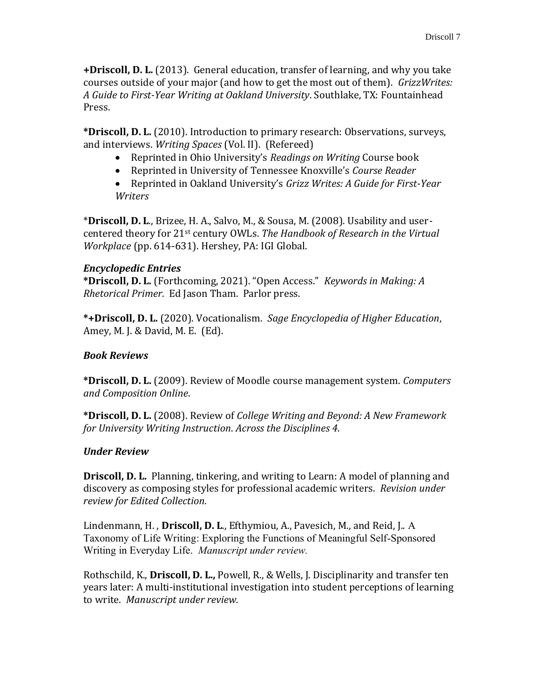**+Driscoll, D. L.** (2013). General education, transfer of learning, and why you take courses outside of your major (and how to get the most out of them). *GrizzWrites: A Guide to First-Year Writing at Oakland University*. Southlake, TX: Fountainhead Press.

**\*Driscoll, D. L.** (2010). Introduction to primary research: Observations, surveys, and interviews. *Writing Spaces* (Vol. II). (Refereed)

- Reprinted in Ohio University's *Readings on Writing* Course book
- Reprinted in University of Tennessee Knoxville's *Course Reader*
- Reprinted in Oakland University's *Grizz Writes: A Guide for First-Year Writers*

\***Driscoll, D. L**., Brizee, H. A., Salvo, M., & Sousa, M. (2008). Usability and usercentered theory for 21st century OWLs. *The Handbook of Research in the Virtual Workplace* (pp. 614-631). Hershey, PA: IGI Global.

### *Encyclopedic Entries*

**\*Driscoll, D. L.** (Forthcoming, 2021). "Open Access." *Keywords in Making: A Rhetorical Primer*. Ed Jason Tham. Parlor press.

**\*+Driscoll, D. L.** (2020). Vocationalism. *Sage Encyclopedia of Higher Education*, Amey, M. J. & David, M. E. (Ed).

### *Book Reviews*

**\*Driscoll, D. L.** (2009). Review of Moodle course management system. *Computers and Composition Online*.

**\*Driscoll, D. L.** (2008). Review of *College Writing and Beyond: A New Framework for University Writing Instruction*. *Across the Disciplines 4*.

# *Under Review*

**Driscoll, D. L.** Planning, tinkering, and writing to Learn: A model of planning and discovery as composing styles for professional academic writers. *Revision under review for Edited Collection.* 

Lindenmann, H. , **Driscoll, D. L**., Efthymiou, A., Pavesich, M., and Reid, J.. A Taxonomy of Life Writing: Exploring the Functions of Meaningful Self-Sponsored Writing in Everyday Life. *Manuscript under review.* 

Rothschild, K., **Driscoll, D. L.,** Powell, R., & Wells, J. Disciplinarity and transfer ten years later: A multi-institutional investigation into student perceptions of learning to write. *Manuscript under review.*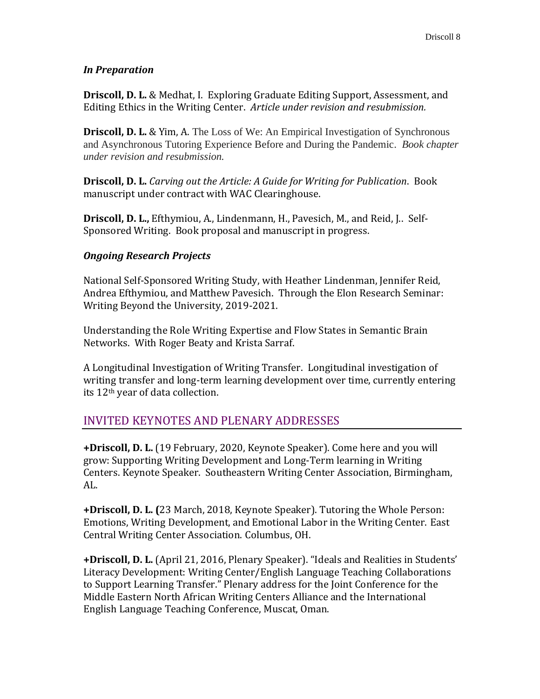### *In Preparation*

**Driscoll, D. L.** & Medhat, I. Exploring Graduate Editing Support, Assessment, and Editing Ethics in the Writing Center. *Article under revision and resubmission.*

**Driscoll, D. L.** & Yim, A. The Loss of We: An Empirical Investigation of Synchronous and Asynchronous Tutoring Experience Before and During the Pandemic. *Book chapter under revision and resubmission.* 

**Driscoll, D. L.** *Carving out the Article: A Guide for Writing for Publication*. Book manuscript under contract with WAC Clearinghouse.

**Driscoll, D. L.,** Efthymiou, A., Lindenmann, H., Pavesich, M., and Reid, J.. Self-Sponsored Writing. Book proposal and manuscript in progress.

### *Ongoing Research Projects*

National Self-Sponsored Writing Study, with Heather Lindenman, Jennifer Reid, Andrea Efthymiou, and Matthew Pavesich. Through the Elon Research Seminar: Writing Beyond the University, 2019-2021.

Understanding the Role Writing Expertise and Flow States in Semantic Brain Networks. With Roger Beaty and Krista Sarraf.

A Longitudinal Investigation of Writing Transfer. Longitudinal investigation of writing transfer and long-term learning development over time, currently entering its 12th year of data collection.

# INVITED KEYNOTES AND PLENARY ADDRESSES

**+Driscoll, D. L.** (19 February, 2020, Keynote Speaker). Come here and you will grow: Supporting Writing Development and Long-Term learning in Writing Centers. Keynote Speaker. Southeastern Writing Center Association, Birmingham, AL.

**+Driscoll, D. L. (**23 March, 2018, Keynote Speaker). Tutoring the Whole Person: Emotions, Writing Development, and Emotional Labor in the Writing Center. East Central Writing Center Association. Columbus, OH.

**+Driscoll, D. L.** (April 21, 2016, Plenary Speaker). "Ideals and Realities in Students' Literacy Development: Writing Center/English Language Teaching Collaborations to Support Learning Transfer." Plenary address for the Joint Conference for the Middle Eastern North African Writing Centers Alliance and the International English Language Teaching Conference, Muscat, Oman.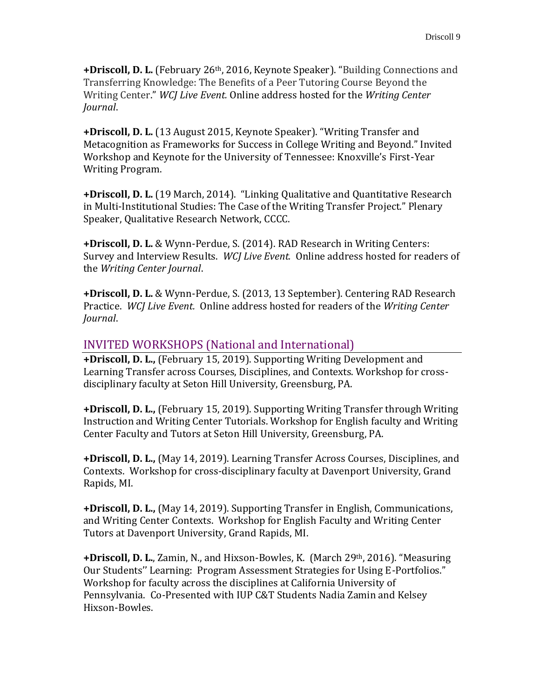**+Driscoll, D. L.** (February 26th, 2016, Keynote Speaker). "Building Connections and Transferring Knowledge: The Benefits of a Peer Tutoring Course Beyond the Writing Center." *WCJ Live Event.* Online address hosted for the *Writing Center Journal*.

**+Driscoll, D. L.** (13 August 2015, Keynote Speaker). "Writing Transfer and Metacognition as Frameworks for Success in College Writing and Beyond." Invited Workshop and Keynote for the University of Tennessee: Knoxville's First-Year Writing Program.

**+Driscoll, D. L.** (19 March, 2014). "Linking Qualitative and Quantitative Research in Multi-Institutional Studies: The Case of the Writing Transfer Project." Plenary Speaker, Qualitative Research Network, CCCC.

**+Driscoll, D. L.** & Wynn-Perdue, S. (2014). RAD Research in Writing Centers: Survey and Interview Results. *WCJ Live Event.* Online address hosted for readers of the *Writing Center Journal*.

**+Driscoll, D. L.** & Wynn-Perdue, S. (2013, 13 September). Centering RAD Research Practice. *WCJ Live Event.* Online address hosted for readers of the *Writing Center Journal*.

# INVITED WORKSHOPS (National and International)

**+Driscoll, D. L.,** (February 15, 2019). Supporting Writing Development and Learning Transfer across Courses, Disciplines, and Contexts. Workshop for crossdisciplinary faculty at Seton Hill University, Greensburg, PA.

**+Driscoll, D. L.,** (February 15, 2019). Supporting Writing Transfer through Writing Instruction and Writing Center Tutorials. Workshop for English faculty and Writing Center Faculty and Tutors at Seton Hill University, Greensburg, PA.

**+Driscoll, D. L.,** (May 14, 2019). Learning Transfer Across Courses, Disciplines, and Contexts. Workshop for cross-disciplinary faculty at Davenport University, Grand Rapids, MI.

**+Driscoll, D. L.,** (May 14, 2019). Supporting Transfer in English, Communications, and Writing Center Contexts. Workshop for English Faculty and Writing Center Tutors at Davenport University, Grand Rapids, MI.

**+Driscoll, D. L.**, Zamin, N., and Hixson-Bowles, K. (March 29<sup>th</sup>, 2016). "Measuring Our Students'' Learning: Program Assessment Strategies for Using E-Portfolios." Workshop for faculty across the disciplines at California University of Pennsylvania. Co-Presented with IUP C&T Students Nadia Zamin and Kelsey Hixson-Bowles.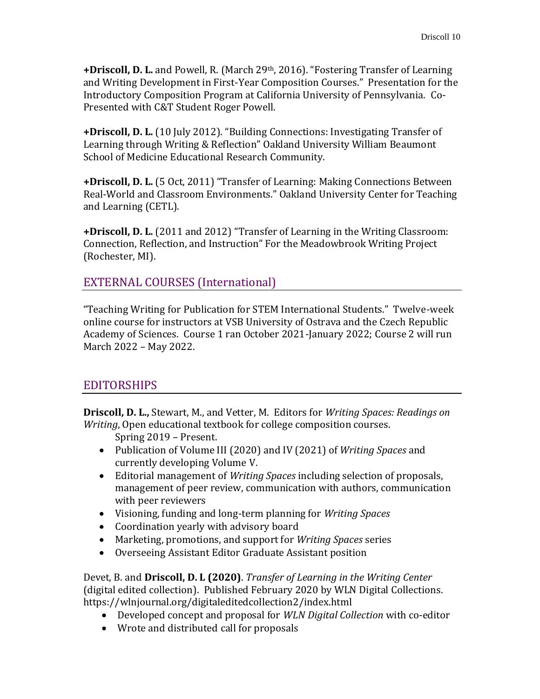**+Driscoll, D. L.** and Powell, R. (March 29th, 2016). "Fostering Transfer of Learning and Writing Development in First-Year Composition Courses." Presentation for the Introductory Composition Program at California University of Pennsylvania. Co-Presented with C&T Student Roger Powell.

**+Driscoll, D. L.** (10 July 2012). "Building Connections: Investigating Transfer of Learning through Writing & Reflection" Oakland University William Beaumont School of Medicine Educational Research Community.

**+Driscoll, D. L.** (5 Oct, 2011) "Transfer of Learning: Making Connections Between Real-World and Classroom Environments." Oakland University Center for Teaching and Learning (CETL).

**+Driscoll, D. L.** (2011 and 2012) "Transfer of Learning in the Writing Classroom: Connection, Reflection, and Instruction" For the Meadowbrook Writing Project (Rochester, MI).

# EXTERNAL COURSES (International)

"Teaching Writing for Publication for STEM International Students." Twelve-week online course for instructors at VSB University of Ostrava and the Czech Republic Academy of Sciences. Course 1 ran October 2021-January 2022; Course 2 will run March 2022 – May 2022.

# EDITORSHIPS

**Driscoll, D. L.,** Stewart, M., and Vetter, M. Editors for *Writing Spaces: Readings on Writing*, Open educational textbook for college composition courses.

Spring 2019 – Present.

- Publication of Volume III (2020) and IV (2021) of *Writing Spaces* and currently developing Volume V.
- Editorial management of *Writing Spaces* including selection of proposals, management of peer review, communication with authors, communication with peer reviewers
- Visioning, funding and long-term planning for *Writing Spaces*
- Coordination yearly with advisory board
- Marketing, promotions, and support for *Writing Spaces* series
- Overseeing Assistant Editor Graduate Assistant position

Devet, B. and **Driscoll, D. L (2020)**. *Transfer of Learning in the Writing Center* (digital edited collection). Published February 2020 by WLN Digital Collections. <https://wlnjournal.org/digitaleditedcollection2/index.html>

- Developed concept and proposal for *WLN Digital Collection* with co-editor
- Wrote and distributed call for proposals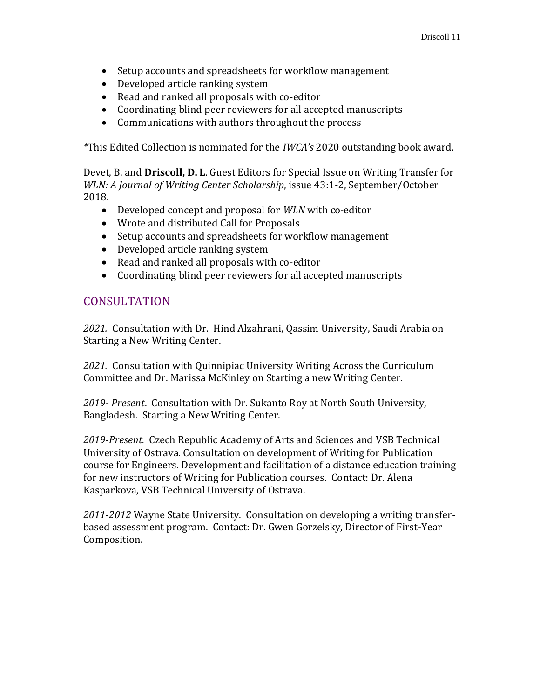- Setup accounts and spreadsheets for workflow management
- Developed article ranking system
- Read and ranked all proposals with co-editor
- Coordinating blind peer reviewers for all accepted manuscripts
- Communications with authors throughout the process

*\**This Edited Collection is nominated for the *IWCA's* 2020 outstanding book award.

Devet, B. and **Driscoll, D. L**. Guest Editors for Special Issue on Writing Transfer for *WLN: A Journal of Writing Center Scholarship*, issue 43:1-2, September/October 2018.

- Developed concept and proposal for *WLN* with co-editor
- Wrote and distributed Call for Proposals
- Setup accounts and spreadsheets for workflow management
- Developed article ranking system
- Read and ranked all proposals with co-editor
- Coordinating blind peer reviewers for all accepted manuscripts

# **CONSULTATION**

*2021.* Consultation with Dr. Hind Alzahrani, Qassim University, Saudi Arabia on Starting a New Writing Center.

*2021.* Consultation with Quinnipiac University Writing Across the Curriculum Committee and Dr. Marissa McKinley on Starting a new Writing Center.

*2019- Present*. Consultation with Dr. Sukanto Roy at North South University, Bangladesh. Starting a New Writing Center.

*2019-Present.* Czech Republic Academy of Arts and Sciences and VSB Technical University of Ostrava. Consultation on development of Writing for Publication course for Engineers. Development and facilitation of a distance education training for new instructors of Writing for Publication courses. Contact: Dr. Alena Kasparkova, VSB Technical University of Ostrava.

*2011-2012* Wayne State University. Consultation on developing a writing transferbased assessment program. Contact: Dr. Gwen Gorzelsky, Director of First-Year Composition.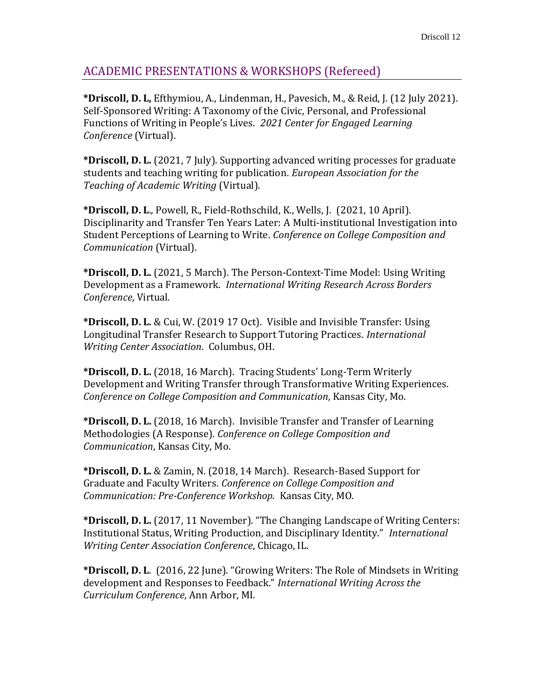# ACADEMIC PRESENTATIONS & WORKSHOPS (Refereed)

**\*Driscoll, D. L,** Efthymiou, A., Lindenman, H., Pavesich, M., & Reid, J. (12 July 2021). Self-Sponsored Writing: A Taxonomy of the Civic, Personal, and Professional Functions of Writing in People's Lives. *2021 Center for Engaged Learning Conference* (Virtual).

**\*Driscoll, D. L.** (2021, 7 July). Supporting advanced writing processes for graduate students and teaching writing for publication. *European Association for the Teaching of Academic Writing* (Virtual).

**\*Driscoll, D. L**., Powell, R., Field-Rothschild, K., Wells, J.(2021, 10 April). Disciplinarity and Transfer Ten Years Later: A Multi-institutional Investigation into Student Perceptions of Learning to Write. *Conference on College Composition and Communication* (Virtual).

**\*Driscoll, D. L.** (2021, 5 March). The Person-Context-Time Model: Using Writing Development as a Framework. *International Writing Research Across Borders Conference*, Virtual.

**\*Driscoll, D. L.** & Cui, W. (2019 17 Oct). Visible and Invisible Transfer: Using Longitudinal Transfer Research to Support Tutoring Practices. *International Writing Center Association*. Columbus, OH.

**\*Driscoll, D. L.** (2018, 16 March). Tracing Students' Long-Term Writerly Development and Writing Transfer through Transformative Writing Experiences. *Conference on College Composition and Communication*, Kansas City, Mo.

**\*Driscoll, D. L.** (2018, 16 March). Invisible Transfer and Transfer of Learning Methodologies (A Response). *Conference on College Composition and Communication*, Kansas City, Mo.

**\*Driscoll, D. L.** & Zamin, N. (2018, 14 March). Research-Based Support for Graduate and Faculty Writers. *Conference on College Composition and Communication: Pre-Conference Workshop*. Kansas City, MO.

**\*Driscoll, D. L.** (2017, 11 November). "The Changing Landscape of Writing Centers: Institutional Status, Writing Production, and Disciplinary Identity." *International Writing Center Association Conference*, Chicago, IL.

**\*Driscoll, D. L**. (2016, 22 June). "Growing Writers: The Role of Mindsets in Writing development and Responses to Feedback." *International Writing Across the Curriculum Conference*, Ann Arbor, MI.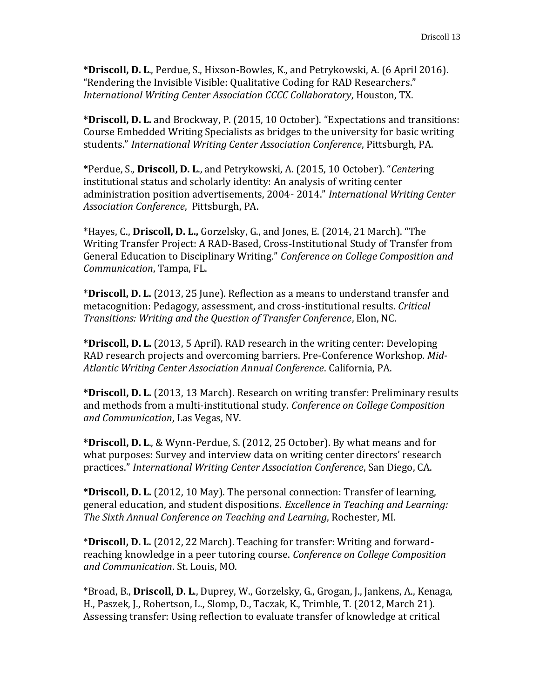**\*Driscoll, D. L**., Perdue, S., Hixson-Bowles, K., and Petrykowski, A. (6 April 2016). "Rendering the Invisible Visible: Qualitative Coding for RAD Researchers." *International Writing Center Association CCCC Collaboratory*, Houston, TX.

**\*Driscoll, D. L.** and Brockway, P. (2015, 10 October). "Expectations and transitions: Course Embedded Writing Specialists as bridges to the university for basic writing students." *International Writing Center Association Conference*, Pittsburgh, PA.

**\***Perdue, S., **Driscoll, D. L**., and Petrykowski, A. (2015, 10 October). "*Center*ing institutional status and scholarly identity: An analysis of writing center administration position advertisements, 2004- 2014." *International Writing Center Association Conference*, Pittsburgh, PA.

\*Hayes, C., **Driscoll, D. L.,** Gorzelsky, G., and Jones, E. (2014, 21 March). "The Writing Transfer Project: A RAD-Based, Cross-Institutional Study of Transfer from General Education to Disciplinary Writing." *Conference on College Composition and Communication*, Tampa, FL.

\***Driscoll, D. L.** (2013, 25 June). Reflection as a means to understand transfer and metacognition: Pedagogy, assessment, and cross-institutional results. *Critical Transitions: Writing and the Question of Transfer Conference*, Elon, NC.

**\*Driscoll, D. L.** (2013, 5 April). RAD research in the writing center: Developing RAD research projects and overcoming barriers. Pre-Conference Workshop. *Mid-Atlantic Writing Center Association Annual Conference*. California, PA.

**\*Driscoll, D. L.** (2013, 13 March). Research on writing transfer: Preliminary results and methods from a multi-institutional study. *Conference on College Composition and Communication*, Las Vegas, NV.

**\*Driscoll, D. L**., & Wynn-Perdue, S. (2012, 25 October). By what means and for what purposes: Survey and interview data on writing center directors' research practices." *International Writing Center Association Conference*, San Diego, CA.

**\*Driscoll, D. L.** (2012, 10 May). The personal connection: Transfer of learning, general education, and student dispositions. *Excellence in Teaching and Learning: The Sixth Annual Conference on Teaching and Learning*, Rochester, MI.

\***Driscoll, D. L.** (2012, 22 March). Teaching for transfer: Writing and forwardreaching knowledge in a peer tutoring course. *Conference on College Composition and Communication*. St. Louis, MO.

\*Broad, B., **Driscoll, D. L**., Duprey, W., Gorzelsky, G., Grogan, J., Jankens, A., Kenaga, H., Paszek, J., Robertson, L., Slomp, D., Taczak, K., Trimble, T. (2012, March 21). Assessing transfer: Using reflection to evaluate transfer of knowledge at critical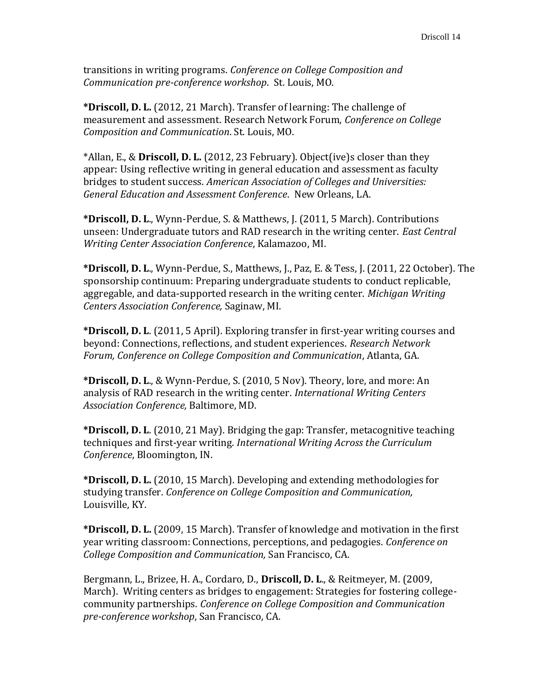transitions in writing programs. *Conference on College Composition and Communication pre-conference workshop*. St. Louis, MO.

**\*Driscoll, D. L.** (2012, 21 March). Transfer of learning: The challenge of measurement and assessment. Research Network Forum, *Conference on College Composition and Communication*. St. Louis, MO.

\*Allan, E., & **Driscoll, D. L.** (2012, 23 February). Object(ive)s closer than they appear: Using reflective writing in general education and assessment as faculty bridges to student success. *American Association of Colleges and Universities: General Education and Assessment Conference*. New Orleans, LA.

**\*Driscoll, D. L**., Wynn-Perdue, S. & Matthews, J. (2011, 5 March). Contributions unseen: Undergraduate tutors and RAD research in the writing center. *East Central Writing Center Association Conference*, Kalamazoo, MI.

**\*Driscoll, D. L**., Wynn-Perdue, S., Matthews, J., Paz, E. & Tess, J. (2011, 22 October). The sponsorship continuum: Preparing undergraduate students to conduct replicable, aggregable, and data-supported research in the writing center. *Michigan Writing Centers Association Conference,* Saginaw, MI.

**\*Driscoll, D. L**. (2011, 5 April). Exploring transfer in first-year writing courses and beyond: Connections, reflections, and student experiences. *Research Network Forum, Conference on College Composition and Communication*, Atlanta, GA.

**\*Driscoll, D. L**., & Wynn-Perdue, S. (2010, 5 Nov). Theory, lore, and more: An analysis of RAD research in the writing center. *International Writing Centers Association Conference,* Baltimore, MD.

**\*Driscoll, D. L**. (2010, 21 May). Bridging the gap: Transfer, metacognitive teaching techniques and first-year writing. *International Writing Across the Curriculum Conference*, Bloomington, IN.

**\*Driscoll, D. L.** (2010, 15 March). Developing and extending methodologies for studying transfer. *Conference on College Composition and Communication,*  Louisville, KY.

**\*Driscoll, D. L.** (2009, 15 March). Transfer of knowledge and motivation in the first year writing classroom: Connections, perceptions, and pedagogies. *Conference on College Composition and Communication,* San Francisco, CA.

Bergmann, L., Brizee, H. A., Cordaro, D., **Driscoll, D. L**., & Reitmeyer, M. (2009, March). Writing centers as bridges to engagement: Strategies for fostering collegecommunity partnerships. *Conference on College Composition and Communication pre-conference workshop*, San Francisco, CA.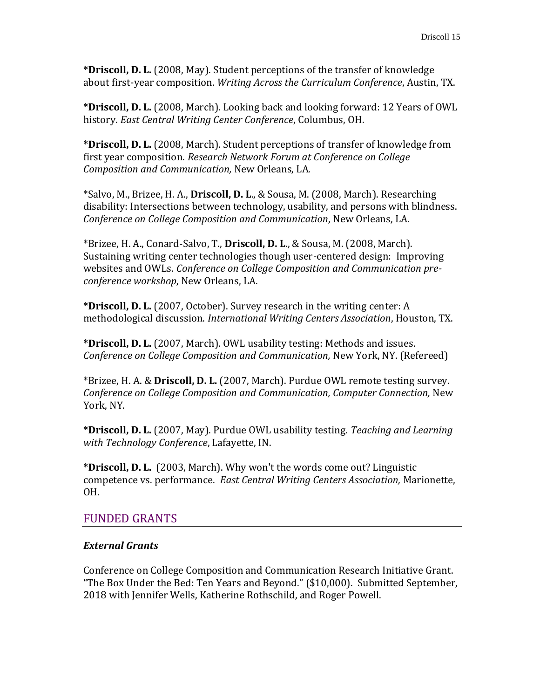**\*Driscoll, D. L.** (2008, May). Student perceptions of the transfer of knowledge about first-year composition. *Writing Across the Curriculum Conference*, Austin, TX.

**\*Driscoll, D. L.** (2008, March). Looking back and looking forward: 12 Years of OWL history. *East Central Writing Center Conference*, Columbus, OH.

**\*Driscoll, D. L.** (2008, March). Student perceptions of transfer of knowledge from first year composition. *Research Network Forum at Conference on College Composition and Communication,* New Orleans, LA.

\*Salvo, M., Brizee, H. A., **Driscoll, D. L**., & Sousa, M. (2008, March). Researching disability: Intersections between technology, usability, and persons with blindness. *Conference on College Composition and Communication*, New Orleans, LA.

\*Brizee, H. A., Conard-Salvo, T., **Driscoll, D. L**., & Sousa, M. (2008, March). Sustaining writing center technologies though user-centered design: Improving websites and OWLs. *Conference on College Composition and Communication preconference workshop*, New Orleans, LA.

**\*Driscoll, D. L.** (2007, October). Survey research in the writing center: A methodological discussion. *International Writing Centers Association*, Houston, TX.

**\*Driscoll, D. L.** (2007, March). OWL usability testing: Methods and issues. *Conference on College Composition and Communication, New York, NY. (Refereed)* 

\*Brizee, H. A. & **Driscoll, D. L.** (2007, March). Purdue OWL remote testing survey. *Conference on College Composition and Communication, Computer Connection,* New York, NY.

**\*Driscoll, D. L.** (2007, May). Purdue OWL usability testing. *Teaching and Learning with Technology Conference*, Lafayette, IN.

**\*Driscoll, D. L.** (2003, March). Why won't the words come out? Linguistic competence vs. performance. *East Central Writing Centers Association,* Marionette, OH.

# FUNDED GRANTS

#### *External Grants*

Conference on College Composition and Communication Research Initiative Grant. "The Box Under the Bed: Ten Years and Beyond." (\$10,000). Submitted September, 2018 with Jennifer Wells, Katherine Rothschild, and Roger Powell.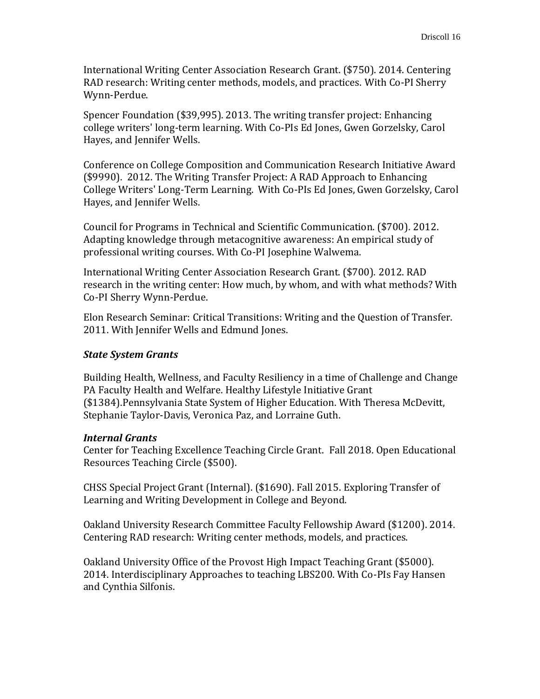International Writing Center Association Research Grant. (\$750). 2014. Centering RAD research: Writing center methods, models, and practices. With Co-PI Sherry Wynn-Perdue.

Spencer Foundation (\$39,995). 2013. The writing transfer project: Enhancing college writers' long-term learning. With Co-PIs Ed Jones, Gwen Gorzelsky, Carol Hayes, and Jennifer Wells.

Conference on College Composition and Communication Research Initiative Award (\$9990). 2012. The Writing Transfer Project: A RAD Approach to Enhancing College Writers' Long-Term Learning. With Co-PIs Ed Jones, Gwen Gorzelsky, Carol Hayes, and Jennifer Wells.

Council for Programs in Technical and Scientific Communication. (\$700)*.* 2012. Adapting knowledge through metacognitive awareness: An empirical study of professional writing courses. With Co-PI Josephine Walwema.

International Writing Center Association Research Grant. (\$700). 2012. RAD research in the writing center: How much, by whom, and with what methods? With Co-PI Sherry Wynn-Perdue.

Elon Research Seminar: Critical Transitions: Writing and the Question of Transfer. 2011. With Jennifer Wells and Edmund Jones.

### *State System Grants*

Building Health, Wellness, and Faculty Resiliency in a time of Challenge and Change PA Faculty Health and Welfare. Healthy Lifestyle Initiative Grant (\$1384).Pennsylvania State System of Higher Education. With Theresa McDevitt, Stephanie Taylor-Davis, Veronica Paz, and Lorraine Guth.

#### *Internal Grants*

Center for Teaching Excellence Teaching Circle Grant. Fall 2018. Open Educational Resources Teaching Circle (\$500).

CHSS Special Project Grant (Internal). (\$1690). Fall 2015. Exploring Transfer of Learning and Writing Development in College and Beyond.

Oakland University Research Committee Faculty Fellowship Award (\$1200). 2014. Centering RAD research: Writing center methods, models, and practices.

Oakland University Office of the Provost High Impact Teaching Grant (\$5000). 2014. Interdisciplinary Approaches to teaching LBS200. With Co-PIs Fay Hansen and Cynthia Silfonis.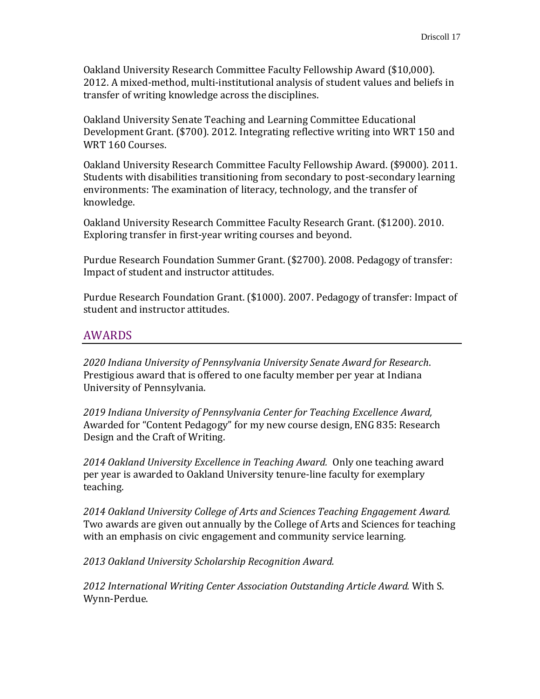Oakland University Research Committee Faculty Fellowship Award (\$10,000). 2012. A mixed-method, multi-institutional analysis of student values and beliefs in transfer of writing knowledge across the disciplines.

Oakland University Senate Teaching and Learning Committee Educational Development Grant. (\$700). 2012. Integrating reflective writing into WRT 150 and WRT 160 Courses.

Oakland University Research Committee Faculty Fellowship Award. (\$9000). 2011. Students with disabilities transitioning from secondary to post-secondary learning environments: The examination of literacy, technology, and the transfer of knowledge.

Oakland University Research Committee Faculty Research Grant. (\$1200). 2010. Exploring transfer in first-year writing courses and beyond.

Purdue Research Foundation Summer Grant. (\$2700). 2008. Pedagogy of transfer: Impact of student and instructor attitudes.

Purdue Research Foundation Grant. (\$1000). 2007. Pedagogy of transfer: Impact of student and instructor attitudes.

# AWARDS

*2020 Indiana University of Pennsylvania University Senate Award for Research*. Prestigious award that is offered to one faculty member per year at Indiana University of Pennsylvania.

*2019 Indiana University of Pennsylvania Center for Teaching Excellence Award,*  Awarded for "Content Pedagogy" for my new course design, ENG 835: Research Design and the Craft of Writing.

*2014 Oakland University Excellence in Teaching Award.* Only one teaching award per year is awarded to Oakland University tenure-line faculty for exemplary teaching.

*2014 Oakland University College of Arts and Sciences Teaching Engagement Award.* Two awards are given out annually by the College of Arts and Sciences for teaching with an emphasis on civic engagement and community service learning.

*2013 Oakland University Scholarship Recognition Award.*

*2012 International Writing Center Association Outstanding Article Award.* With S. Wynn-Perdue.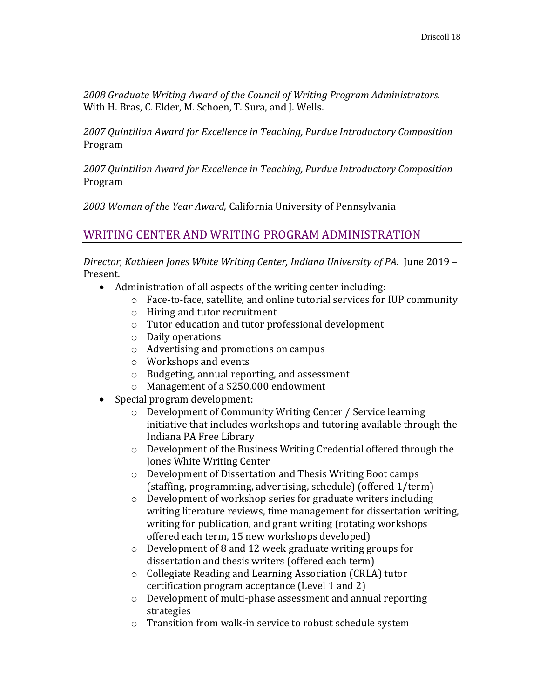*2008 Graduate Writing Award of the Council of Writing Program Administrators.* With H. Bras, C. Elder, M. Schoen, T. Sura, and J. Wells.

*2007 Quintilian Award for Excellence in Teaching, Purdue Introductory Composition* Program

*2007 Quintilian Award for Excellence in Teaching, Purdue Introductory Composition* Program

*2003 Woman of the Year Award,* California University of Pennsylvania

# WRITING CENTER AND WRITING PROGRAM ADMINISTRATION

*Director, Kathleen Jones White Writing Center, Indiana University of PA.* June 2019 – Present.

- Administration of all aspects of the writing center including:
	- o Face-to-face, satellite, and online tutorial services for IUP community
	- o Hiring and tutor recruitment
	- o Tutor education and tutor professional development
	- o Daily operations
	- o Advertising and promotions on campus
	- o Workshops and events
	- o Budgeting, annual reporting, and assessment
	- o Management of a \$250,000 endowment
- Special program development:
	- o Development of Community Writing Center / Service learning initiative that includes workshops and tutoring available through the Indiana PA Free Library
	- o Development of the Business Writing Credential offered through the Jones White Writing Center
	- o Development of Dissertation and Thesis Writing Boot camps (staffing, programming, advertising, schedule) (offered 1/term)
	- o Development of workshop series for graduate writers including writing literature reviews, time management for dissertation writing, writing for publication, and grant writing (rotating workshops offered each term, 15 new workshops developed)
	- o Development of 8 and 12 week graduate writing groups for dissertation and thesis writers (offered each term)
	- o Collegiate Reading and Learning Association (CRLA) tutor certification program acceptance (Level 1 and 2)
	- o Development of multi-phase assessment and annual reporting strategies
	- o Transition from walk-in service to robust schedule system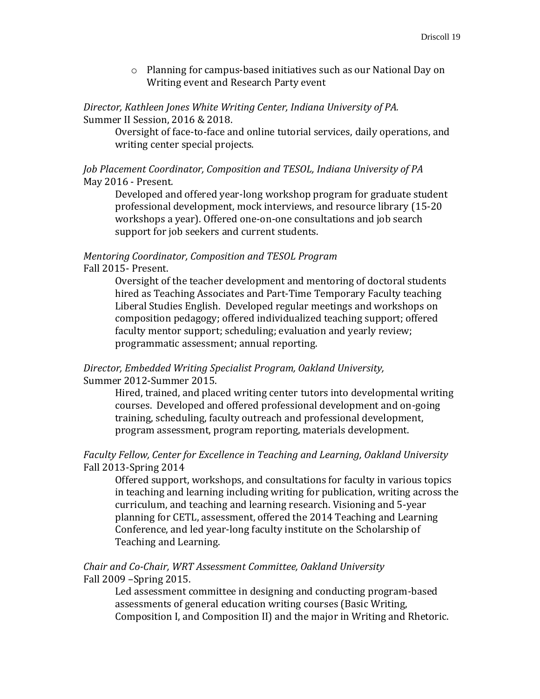o Planning for campus-based initiatives such as our National Day on Writing event and Research Party event

*Director, Kathleen Jones White Writing Center, Indiana University of PA.* Summer II Session, 2016 & 2018.

Oversight of face-to-face and online tutorial services, daily operations, and writing center special projects.

#### *Job Placement Coordinator, Composition and TESOL, Indiana University of PA* May 2016 - Present*.*

Developed and offered year-long workshop program for graduate student professional development, mock interviews, and resource library (15-20 workshops a year). Offered one-on-one consultations and job search support for job seekers and current students.

# *Mentoring Coordinator, Composition and TESOL Program*

Fall 2015- Present.

Oversight of the teacher development and mentoring of doctoral students hired as Teaching Associates and Part-Time Temporary Faculty teaching Liberal Studies English. Developed regular meetings and workshops on composition pedagogy; offered individualized teaching support; offered faculty mentor support; scheduling; evaluation and yearly review; programmatic assessment; annual reporting.

### *Director, Embedded Writing Specialist Program, Oakland University,*  Summer 2012-Summer 2015.

Hired, trained, and placed writing center tutors into developmental writing courses. Developed and offered professional development and on-going training, scheduling, faculty outreach and professional development, program assessment, program reporting, materials development.

### *Faculty Fellow, Center for Excellence in Teaching and Learning, Oakland University* Fall 2013-Spring 2014

Offered support, workshops, and consultations for faculty in various topics in teaching and learning including writing for publication, writing across the curriculum, and teaching and learning research. Visioning and 5-year planning for CETL, assessment, offered the 2014 Teaching and Learning Conference, and led year-long faculty institute on the Scholarship of Teaching and Learning.

### *Chair and Co-Chair, WRT Assessment Committee, Oakland University* Fall 2009 –Spring 2015.

Led assessment committee in designing and conducting program-based assessments of general education writing courses (Basic Writing, Composition I, and Composition II) and the major in Writing and Rhetoric.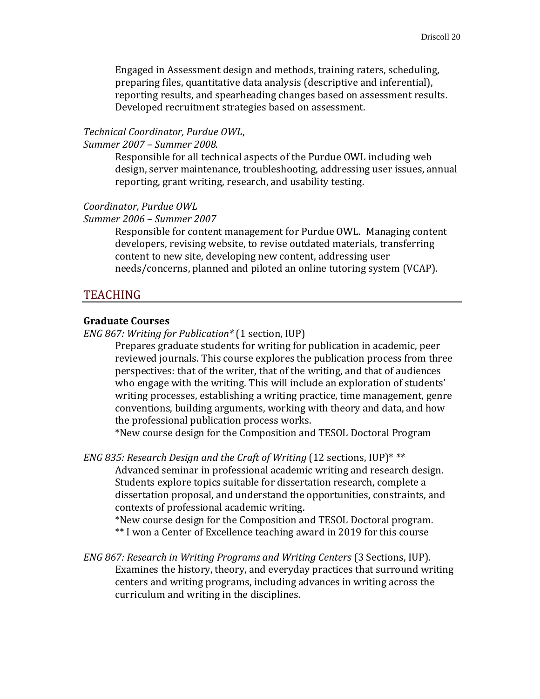Engaged in Assessment design and methods, training raters, scheduling, preparing files, quantitative data analysis (descriptive and inferential), reporting results, and spearheading changes based on assessment results. Developed recruitment strategies based on assessment.

#### *Technical Coordinator, Purdue OWL*,

*Summer 2007 – Summer 2008.* 

Responsible for all technical aspects of the Purdue OWL including web design, server maintenance, troubleshooting, addressing user issues, annual reporting, grant writing, research, and usability testing.

#### *Coordinator, Purdue OWL*

*Summer 2006 – Summer 2007* 

Responsible for content management for Purdue OWL. Managing content developers, revising website, to revise outdated materials, transferring content to new site, developing new content, addressing user needs/concerns, planned and piloted an online tutoring system (VCAP).

#### TEACHING

#### **Graduate Courses**

*ENG 867: Writing for Publication\** (1 section, IUP)

Prepares graduate students for writing for publication in academic, peer reviewed journals. This course explores the publication process from three perspectives: that of the writer, that of the writing, and that of audiences who engage with the writing. This will include an exploration of students' writing processes, establishing a writing practice, time management, genre conventions, building arguments, working with theory and data, and how the professional publication process works.

\*New course design for the Composition and TESOL Doctoral Program

*ENG 835: Research Design and the Craft of Writing* (12 sections, IUP)\* *\*\** Advanced seminar in professional academic writing and research design. Students explore topics suitable for dissertation research, complete a dissertation proposal, and understand the opportunities, constraints, and contexts of professional academic writing.

\*New course design for the Composition and TESOL Doctoral program. \*\* I won a Center of Excellence teaching award in 2019 for this course

*ENG 867: Research in Writing Programs and Writing Centers* (3 Sections, IUP). Examines the history, theory, and everyday practices that surround writing centers and writing programs, including advances in writing across the curriculum and writing in the disciplines.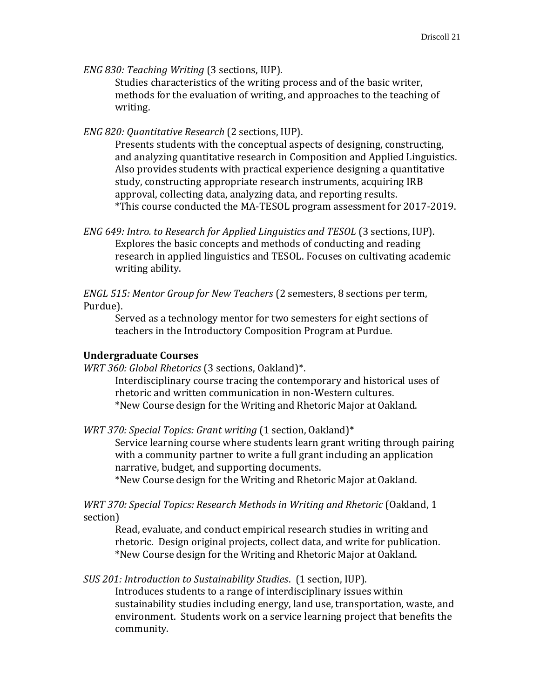*ENG 830: Teaching Writing* (3 sections, IUP).

Studies characteristics of the writing process and of the basic writer, methods for the evaluation of writing, and approaches to the teaching of writing.

*ENG 820: Quantitative Research* (2 sections, IUP).

Presents students with the conceptual aspects of designing, constructing, and analyzing quantitative research in Composition and Applied Linguistics. Also provides students with practical experience designing a quantitative study, constructing appropriate research instruments, acquiring IRB approval, collecting data, analyzing data, and reporting results. \*This course conducted the MA-TESOL program assessment for 2017-2019.

*ENG 649: Intro. to Research for Applied Linguistics and TESOL* (3 sections, IUP). Explores the basic concepts and methods of conducting and reading research in applied linguistics and TESOL. Focuses on cultivating academic writing ability.

*ENGL 515: Mentor Group for New Teachers* (2 semesters, 8 sections per term, Purdue).

Served as a technology mentor for two semesters for eight sections of teachers in the Introductory Composition Program at Purdue.

### **Undergraduate Courses**

*WRT 360: Global Rhetorics* (3 sections, Oakland)\*.

Interdisciplinary course tracing the contemporary and historical uses of rhetoric and written communication in non-Western cultures. \*New Course design for the Writing and Rhetoric Major at Oakland.

*WRT 370: Special Topics: Grant writing* (1 section, Oakland)\* Service learning course where students learn grant writing through pairing with a community partner to write a full grant including an application narrative, budget, and supporting documents. \*New Course design for the Writing and Rhetoric Major at Oakland.

*WRT 370: Special Topics: Research Methods in Writing and Rhetoric (Oakland, 1* section)

Read, evaluate, and conduct empirical research studies in writing and rhetoric. Design original projects, collect data, and write for publication. \*New Course design for the Writing and Rhetoric Major at Oakland.

*SUS 201: Introduction to Sustainability Studies*. (1 section, IUP).

Introduces students to a range of interdisciplinary issues within sustainability studies including energy, land use, transportation, waste, and environment. Students work on a service learning project that benefits the community.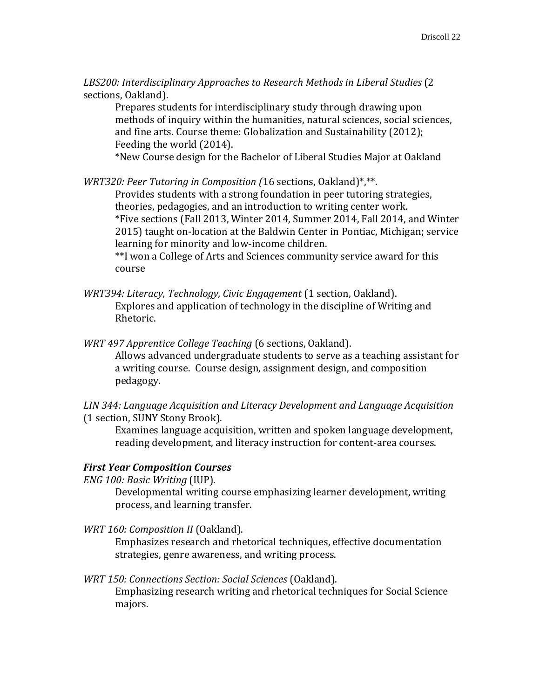*LBS200: Interdisciplinary Approaches to Research Methods in Liberal Studies* (2 sections, Oakland).

Prepares students for interdisciplinary study through drawing upon methods of inquiry within the humanities, natural sciences, social sciences, and fine arts. Course theme: Globalization and Sustainability (2012); Feeding the world (2014).

\*New Course design for the Bachelor of Liberal Studies Major at Oakland

*WRT320: Peer Tutoring in Composition (*16 sections, Oakland)\*,\*\*.

Provides students with a strong foundation in peer tutoring strategies, theories, pedagogies, and an introduction to writing center work. \*Five sections (Fall 2013, Winter 2014, Summer 2014, Fall 2014, and Winter 2015) taught on-location at the Baldwin Center in Pontiac, Michigan; service learning for minority and low-income children.

\*\*I won a College of Arts and Sciences community service award for this course

- *WRT394: Literacy, Technology, Civic Engagement* (1 section, Oakland). Explores and application of technology in the discipline of Writing and Rhetoric.
- *WRT 497 Apprentice College Teaching* (6 sections, Oakland). Allows advanced undergraduate students to serve as a teaching assistant for a writing course. Course design, assignment design, and composition pedagogy.

*LIN 344: Language Acquisition and Literacy Development and Language Acquisition*  (1 section, SUNY Stony Brook).

Examines language acquisition, written and spoken language development, reading development, and literacy instruction for content-area courses.

### *First Year Composition Courses*

*ENG 100: Basic Writing* (IUP).

Developmental writing course emphasizing learner development, writing process, and learning transfer.

*WRT 160: Composition II* (Oakland).

Emphasizes research and rhetorical techniques, effective documentation strategies, genre awareness, and writing process.

*WRT 150: Connections Section: Social Sciences* (Oakland). Emphasizing research writing and rhetorical techniques for Social Science majors.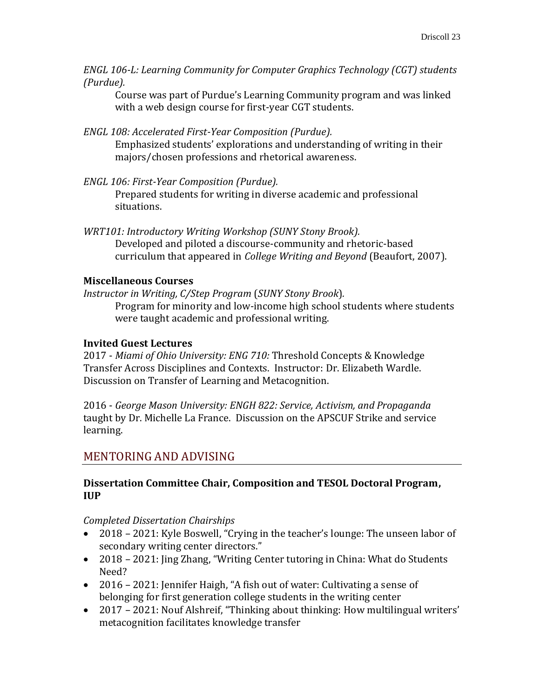*ENGL 106-L: Learning Community for Computer Graphics Technology (CGT) students (Purdue).* 

Course was part of Purdue's Learning Community program and was linked with a web design course for first-year CGT students.

- *ENGL 108: Accelerated First-Year Composition (Purdue).* Emphasized students' explorations and understanding of writing in their majors/chosen professions and rhetorical awareness.
- *ENGL 106: First-Year Composition (Purdue).* Prepared students for writing in diverse academic and professional situations.
- *WRT101: Introductory Writing Workshop (SUNY Stony Brook).* Developed and piloted a discourse-community and rhetoric-based curriculum that appeared in *College Writing and Beyond* (Beaufort, 2007).

## **Miscellaneous Courses**

*Instructor in Writing, C/Step Program* (*SUNY Stony Brook*)*.* Program for minority and low-income high school students where students were taught academic and professional writing.

# **Invited Guest Lectures**

2017 - *Miami of Ohio University: ENG 710:* Threshold Concepts & Knowledge Transfer Across Disciplines and Contexts. Instructor: Dr. Elizabeth Wardle. Discussion on Transfer of Learning and Metacognition.

2016 - *George Mason University: ENGH 822: Service, Activism, and Propaganda* taught by Dr. Michelle La France. Discussion on the APSCUF Strike and service learning.

# MENTORING AND ADVISING

## **Dissertation Committee Chair, Composition and TESOL Doctoral Program, IUP**

*Completed Dissertation Chairships*

- 2018 2021: Kyle Boswell, "Crying in the teacher's lounge: The unseen labor of secondary writing center directors."
- 2018 2021: Jing Zhang, "Writing Center tutoring in China: What do Students Need?
- 2016 2021: Jennifer Haigh, "A fish out of water: Cultivating a sense of belonging for first generation college students in the writing center
- 2017 2021: Nouf Alshreif, "Thinking about thinking: How multilingual writers' metacognition facilitates knowledge transfer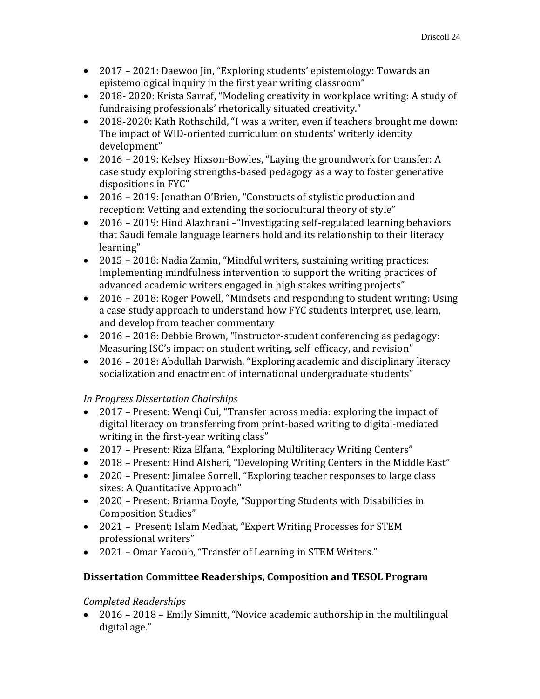- 2017 2021: Daewoo Jin, "Exploring students' epistemology: Towards an epistemological inquiry in the first year writing classroom"
- 2018- 2020: Krista Sarraf, "Modeling creativity in workplace writing: A study of fundraising professionals' rhetorically situated creativity."
- 2018-2020: Kath Rothschild, "I was a writer, even if teachers brought me down: The impact of WID-oriented curriculum on students' writerly identity development"
- 2016 2019: Kelsey Hixson-Bowles, "Laying the groundwork for transfer: A case study exploring strengths-based pedagogy as a way to foster generative dispositions in FYC"
- 2016 2019: Jonathan O'Brien, "Constructs of stylistic production and reception: Vetting and extending the sociocultural theory of style"
- 2016 2019: Hind Alazhrani –"Investigating self-regulated learning behaviors that Saudi female language learners hold and its relationship to their literacy learning"
- 2015 2018: Nadia Zamin, "Mindful writers, sustaining writing practices: Implementing mindfulness intervention to support the writing practices of advanced academic writers engaged in high stakes writing projects"
- 2016 2018: Roger Powell, "Mindsets and responding to student writing: Using a case study approach to understand how FYC students interpret, use, learn, and develop from teacher commentary
- 2016 2018: Debbie Brown, "Instructor-student conferencing as pedagogy: Measuring ISC's impact on student writing, self-efficacy, and revision"
- 2016 2018: Abdullah Darwish, "Exploring academic and disciplinary literacy socialization and enactment of international undergraduate students"

# *In Progress Dissertation Chairships*

- 2017 Present: Wenqi Cui, "Transfer across media: exploring the impact of digital literacy on transferring from print-based writing to digital-mediated writing in the first-year writing class"
- 2017 Present: Riza Elfana, "Exploring Multiliteracy Writing Centers"
- 2018 Present: Hind Alsheri, "Developing Writing Centers in the Middle East"
- 2020 Present: Jimalee Sorrell, "Exploring teacher responses to large class sizes: A Quantitative Approach"
- 2020 Present: Brianna Doyle, "Supporting Students with Disabilities in Composition Studies"
- 2021 Present: Islam Medhat, "Expert Writing Processes for STEM professional writers"
- 2021 Omar Yacoub, "Transfer of Learning in STEM Writers."

# **Dissertation Committee Readerships, Composition and TESOL Program**

# *Completed Readerships*

• 2016 – 2018 – Emily Simnitt, "Novice academic authorship in the multilingual digital age."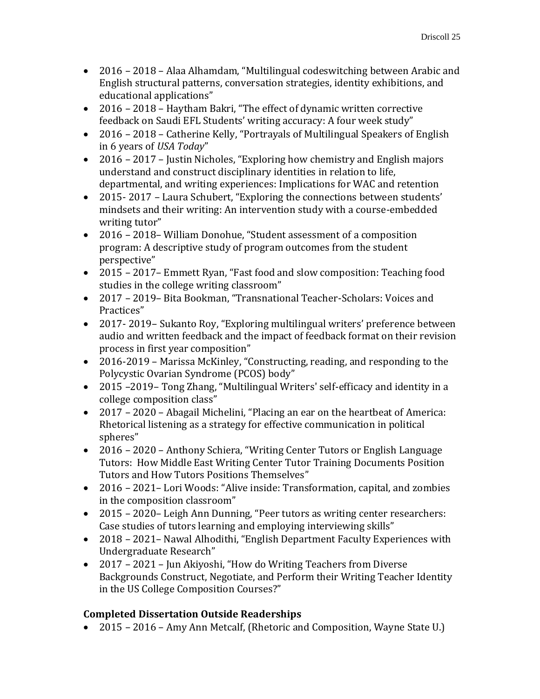- 2016 2018 Alaa Alhamdam, "Multilingual codeswitching between Arabic and English structural patterns, conversation strategies, identity exhibitions, and educational applications"
- 2016 2018 Haytham Bakri, "The effect of dynamic written corrective feedback on Saudi EFL Students' writing accuracy: A four week study"
- 2016 2018 Catherine Kelly, "Portrayals of Multilingual Speakers of English in 6 years of *USA Today*"
- 2016 2017 Justin Nicholes, "Exploring how chemistry and English majors" understand and construct disciplinary identities in relation to life, departmental, and writing experiences: Implications for WAC and retention
- 2015-2017 Laura Schubert, "Exploring the connections between students' mindsets and their writing: An intervention study with a course-embedded writing tutor"
- 2016 2018– William Donohue, "Student assessment of a composition program: A descriptive study of program outcomes from the student perspective"
- 2015 2017– Emmett Ryan, "Fast food and slow composition: Teaching food studies in the college writing classroom"
- 2017 2019– Bita Bookman, "Transnational Teacher-Scholars: Voices and Practices"
- 2017- 2019– Sukanto Roy, "Exploring multilingual writers' preference between audio and written feedback and the impact of feedback format on their revision process in first year composition"
- 2016-2019 Marissa McKinley, "Constructing, reading, and responding to the Polycystic Ovarian Syndrome (PCOS) body"
- 2015 –2019– Tong Zhang, "Multilingual Writers' self-efficacy and identity in a college composition class"
- 2017 2020 Abagail Michelini, "Placing an ear on the heartbeat of America: Rhetorical listening as a strategy for effective communication in political spheres"
- 2016 2020 Anthony Schiera, "Writing Center Tutors or English Language Tutors: How Middle East Writing Center Tutor Training Documents Position Tutors and How Tutors Positions Themselves"
- 2016 2021– Lori Woods: "Alive inside: Transformation, capital, and zombies in the composition classroom"
- 2015 2020– Leigh Ann Dunning, "Peer tutors as writing center researchers: Case studies of tutors learning and employing interviewing skills"
- 2018 2021– Nawal Alhodithi, "English Department Faculty Experiences with Undergraduate Research"
- 2017 2021 Jun Akiyoshi, "How do Writing Teachers from Diverse Backgrounds Construct, Negotiate, and Perform their Writing Teacher Identity in the US College Composition Courses?"

# **Completed Dissertation Outside Readerships**

• 2015 – 2016 – Amy Ann Metcalf, (Rhetoric and Composition, Wayne State U.)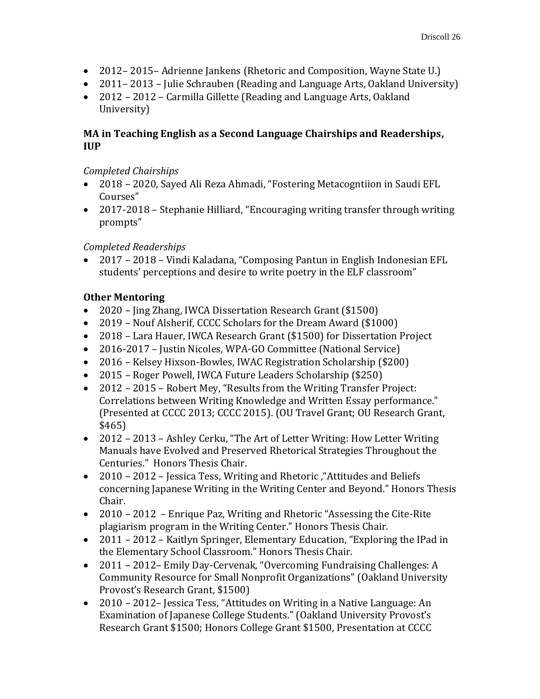- 2012– 2015– Adrienne Jankens (Rhetoric and Composition, Wayne State U.)
- 2011–2013 Julie Schrauben (Reading and Language Arts, Oakland University)
- 2012 2012 Carmilla Gillette (Reading and Language Arts, Oakland University)

# **MA in Teaching English as a Second Language Chairships and Readerships, IUP**

# *Completed Chairships*

- 2018 2020, Sayed Ali Reza Ahmadi, "Fostering Metacogntiion in Saudi EFL Courses"
- 2017-2018 Stephanie Hilliard, "Encouraging writing transfer through writing prompts"

# *Completed Readerships*

• 2017 – 2018 – Vindi Kaladana, "Composing Pantun in English Indonesian EFL students' perceptions and desire to write poetry in the ELF classroom"

# **Other Mentoring**

- 2020 Jing Zhang, IWCA Dissertation Research Grant (\$1500)
- 2019 Nouf Alsherif, CCCC Scholars for the Dream Award (\$1000)
- 2018 Lara Hauer, IWCA Research Grant (\$1500) for Dissertation Project
- 2016-2017 Justin Nicoles, WPA-GO Committee (National Service)
- 2016 Kelsey Hixson-Bowles, IWAC Registration Scholarship (\$200)
- 2015 Roger Powell, IWCA Future Leaders Scholarship (\$250)
- 2012 2015 Robert Mey, "Results from the Writing Transfer Project: Correlations between Writing Knowledge and Written Essay performance." (Presented at CCCC 2013; CCCC 2015). (OU Travel Grant; OU Research Grant, \$465)
- 2012 2013 Ashley Cerku, "The Art of Letter Writing: How Letter Writing Manuals have Evolved and Preserved Rhetorical Strategies Throughout the Centuries." Honors Thesis Chair.
- 2010 2012 Jessica Tess, Writing and Rhetoric , "Attitudes and Beliefs" concerning Japanese Writing in the Writing Center and Beyond." Honors Thesis Chair.
- 2010 2012 Enrique Paz, Writing and Rhetoric "Assessing the Cite-Rite" plagiarism program in the Writing Center." Honors Thesis Chair.
- 2011 2012 Kaitlyn Springer, Elementary Education, "Exploring the IPad in the Elementary School Classroom." Honors Thesis Chair.
- 2011 2012– Emily Day-Cervenak, "Overcoming Fundraising Challenges: A Community Resource for Small Nonprofit Organizations" (Oakland University Provost's Research Grant, \$1500)
- 2010 2012– Jessica Tess, "Attitudes on Writing in a Native Language: An Examination of Japanese College Students." (Oakland University Provost's Research Grant \$1500; Honors College Grant \$1500, Presentation at CCCC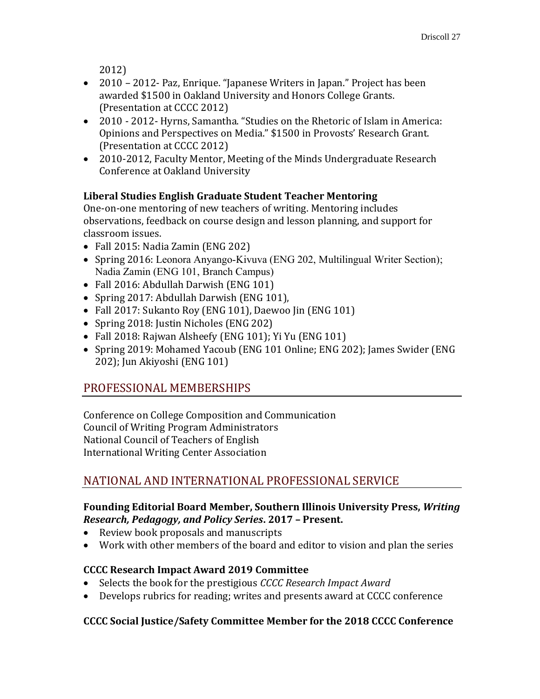2012)

- 2010 2012- Paz, Enrique. "Japanese Writers in Japan." Project has been awarded \$1500 in Oakland University and Honors College Grants. (Presentation at CCCC 2012)
- 2010 2012- Hyrns, Samantha. "Studies on the Rhetoric of Islam in America: Opinions and Perspectives on Media." \$1500 in Provosts' Research Grant. (Presentation at CCCC 2012)
- 2010-2012, Faculty Mentor, Meeting of the Minds Undergraduate Research Conference at Oakland University

# **Liberal Studies English Graduate Student Teacher Mentoring**

One-on-one mentoring of new teachers of writing. Mentoring includes observations, feedback on course design and lesson planning, and support for classroom issues.

- Fall 2015: Nadia Zamin (ENG 202)
- Spring 2016: Leonora Anyango-Kivuva (ENG 202, Multilingual Writer Section); Nadia Zamin (ENG 101, Branch Campus)
- Fall 2016: Abdullah Darwish (ENG 101)
- Spring 2017: Abdullah Darwish (ENG 101),
- Fall 2017: Sukanto Roy (ENG 101), Daewoo Jin (ENG 101)
- Spring 2018: Justin Nicholes (ENG 202)
- Fall 2018: Rajwan Alsheefy (ENG 101); Yi Yu (ENG 101)
- Spring 2019: Mohamed Yacoub (ENG 101 Online; ENG 202); James Swider (ENG 202); Jun Akiyoshi (ENG 101)

# PROFESSIONAL MEMBERSHIPS

Conference on College Composition and Communication Council of Writing Program Administrators National Council of Teachers of English International Writing Center Association

# NATIONAL AND INTERNATIONAL PROFESSIONAL SERVICE

## **Founding Editorial Board Member, Southern Illinois University Press,** *Writing Research, Pedagogy, and Policy Series***. 2017 – Present.**

- Review book proposals and manuscripts
- Work with other members of the board and editor to vision and plan the series

# **CCCC Research Impact Award 2019 Committee**

- Selects the book for the prestigious *CCCC Research Impact Award*
- Develops rubrics for reading; writes and presents award at CCCC conference

# **CCCC Social Justice/Safety Committee Member for the 2018 CCCC Conference**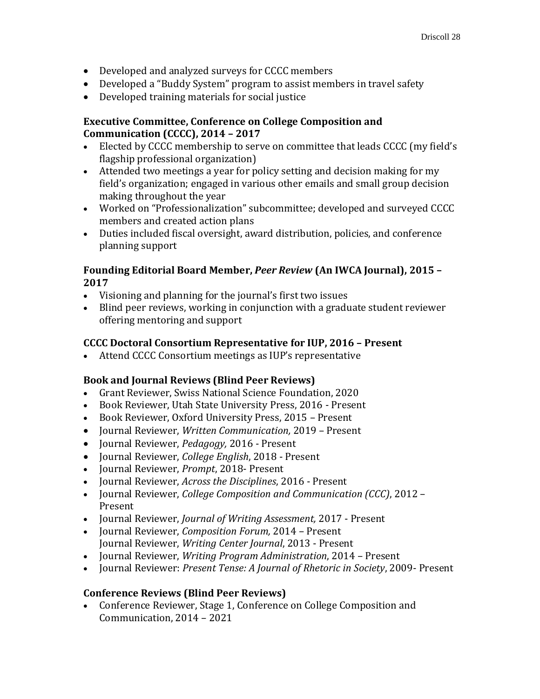- Developed and analyzed surveys for CCCC members
- Developed a "Buddy System" program to assist members in travel safety
- Developed training materials for social justice

### **Executive Committee, Conference on College Composition and Communication (CCCC), 2014 – 2017**

- Elected by CCCC membership to serve on committee that leads CCCC (my field's flagship professional organization)
- Attended two meetings a year for policy setting and decision making for my field's organization; engaged in various other emails and small group decision making throughout the year
- Worked on "Professionalization" subcommittee; developed and surveyed CCCC members and created action plans
- Duties included fiscal oversight, award distribution, policies, and conference planning support

## **Founding Editorial Board Member,** *Peer Review* **(An IWCA Journal), 2015 – 2017**

- Visioning and planning for the journal's first two issues
- Blind peer reviews, working in conjunction with a graduate student reviewer offering mentoring and support

# **CCCC Doctoral Consortium Representative for IUP, 2016 – Present**

• Attend CCCC Consortium meetings as IUP's representative

# **Book and Journal Reviews (Blind Peer Reviews)**

- Grant Reviewer, Swiss National Science Foundation, 2020
- Book Reviewer, Utah State University Press, 2016 Present
- Book Reviewer, Oxford University Press, 2015 Present
- Journal Reviewer, *Written Communication,* 2019 Present
- Journal Reviewer, *Pedagogy,* 2016 Present
- Journal Reviewer, *College English*, 2018 Present
- Journal Reviewer, *Prompt*, 2018- Present
- Journal Reviewer, *Across the Disciplines*, 2016 Present
- Journal Reviewer, *College Composition and Communication (CCC)*, 2012 Present
- Journal Reviewer, *Journal of Writing Assessment,* 2017 Present
- Journal Reviewer, *Composition Forum,* 2014 Present Journal Reviewer, *Writing Center Journal*, 2013 - Present
- Journal Reviewer, *Writing Program Administration*, 2014 Present
- Journal Reviewer: *Present Tense: A Journal of Rhetoric in Society*, 2009- Present

### **Conference Reviews (Blind Peer Reviews)**

• Conference Reviewer, Stage 1, Conference on College Composition and Communication, 2014 – 2021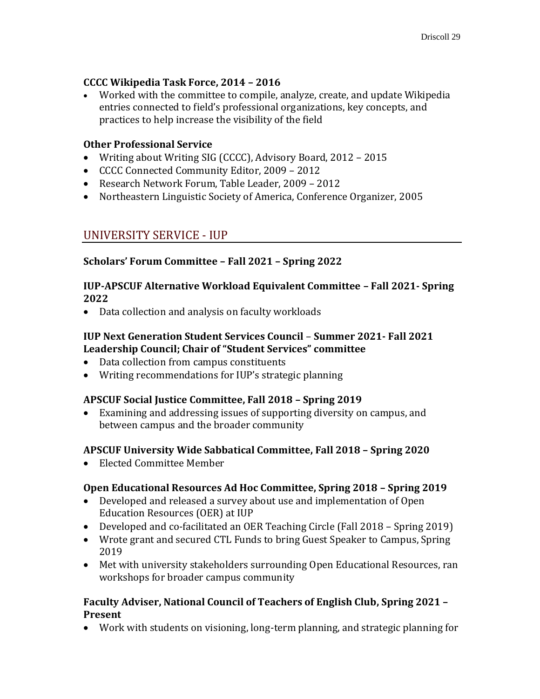# **CCCC Wikipedia Task Force, 2014 – 2016**

• Worked with the committee to compile, analyze, create, and update Wikipedia entries connected to field's professional organizations, key concepts, and practices to help increase the visibility of the field

### **Other Professional Service**

- Writing about Writing SIG (CCCC), Advisory Board, 2012 2015
- CCCC Connected Community Editor, 2009 2012
- Research Network Forum, Table Leader, 2009 2012
- Northeastern Linguistic Society of America, Conference Organizer, 2005

# UNIVERSITY SERVICE - IUP

# **Scholars' Forum Committee – Fall 2021 – Spring 2022**

### **IUP-APSCUF Alternative Workload Equivalent Committee – Fall 2021- Spring 2022**

• Data collection and analysis on faculty workloads

## **IUP Next Generation Student Services Council** – **Summer 2021- Fall 2021 Leadership Council; Chair of "Student Services" committee**

- Data collection from campus constituents
- Writing recommendations for IUP's strategic planning

### **APSCUF Social Justice Committee, Fall 2018 – Spring 2019**

• Examining and addressing issues of supporting diversity on campus, and between campus and the broader community

# **APSCUF University Wide Sabbatical Committee, Fall 2018 – Spring 2020**

• Elected Committee Member

# **Open Educational Resources Ad Hoc Committee, Spring 2018 – Spring 2019**

- Developed and released a survey about use and implementation of Open Education Resources (OER) at IUP
- Developed and co-facilitated an OER Teaching Circle (Fall 2018 Spring 2019)
- Wrote grant and secured CTL Funds to bring Guest Speaker to Campus, Spring 2019
- Met with university stakeholders surrounding Open Educational Resources, ran workshops for broader campus community

### **Faculty Adviser, National Council of Teachers of English Club, Spring 2021 – Present**

• Work with students on visioning, long-term planning, and strategic planning for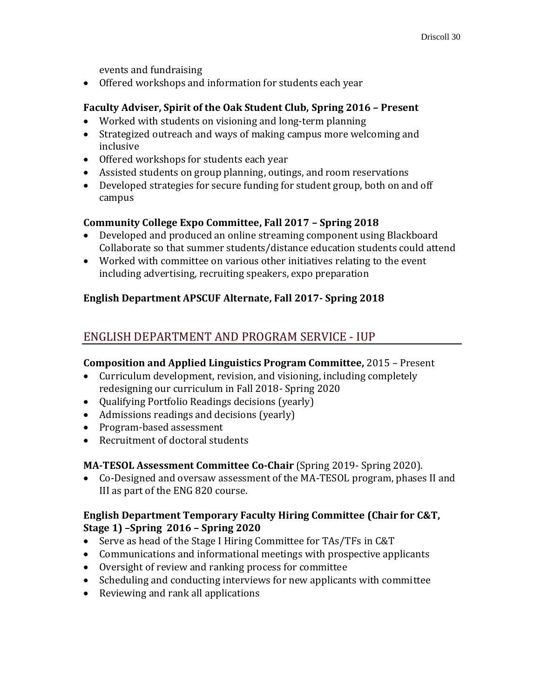events and fundraising

• Offered workshops and information for students each year

## **Faculty Adviser, Spirit of the Oak Student Club, Spring 2016 – Present**

- Worked with students on visioning and long-term planning
- Strategized outreach and ways of making campus more welcoming and inclusive
- Offered workshops for students each year
- Assisted students on group planning, outings, and room reservations
- Developed strategies for secure funding for student group, both on and off campus

## **Community College Expo Committee, Fall 2017 – Spring 2018**

- Developed and produced an online streaming component using Blackboard Collaborate so that summer students/distance education students could attend
- Worked with committee on various other initiatives relating to the event including advertising, recruiting speakers, expo preparation

# **English Department APSCUF Alternate, Fall 2017- Spring 2018**

# ENGLISH DEPARTMENT AND PROGRAM SERVICE - IUP

### **Composition and Applied Linguistics Program Committee,** 2015 – Present

- Curriculum development, revision, and visioning, including completely redesigning our curriculum in Fall 2018- Spring 2020
- Qualifying Portfolio Readings decisions (yearly)
- Admissions readings and decisions (yearly)
- Program-based assessment
- Recruitment of doctoral students

# **MA-TESOL Assessment Committee Co-Chair** (Spring 2019- Spring 2020).

• Co-Designed and oversaw assessment of the MA-TESOL program, phases II and III as part of the ENG 820 course.

## **English Department Temporary Faculty Hiring Committee (Chair for C&T, Stage 1) –Spring 2016 – Spring 2020**

- Serve as head of the Stage I Hiring Committee for TAs/TFs in C&T
- Communications and informational meetings with prospective applicants
- Oversight of review and ranking process for committee
- Scheduling and conducting interviews for new applicants with committee
- Reviewing and rank all applications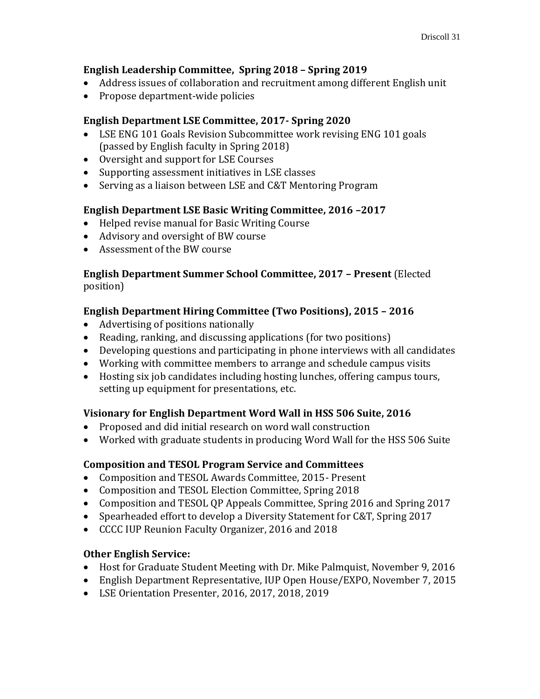## **English Leadership Committee, Spring 2018 – Spring 2019**

- Address issues of collaboration and recruitment among different English unit
- Propose department-wide policies

# **English Department LSE Committee, 2017- Spring 2020**

- LSE ENG 101 Goals Revision Subcommittee work revising ENG 101 goals (passed by English faculty in Spring 2018)
- Oversight and support for LSE Courses
- Supporting assessment initiatives in LSE classes
- Serving as a liaison between LSE and C&T Mentoring Program

## **English Department LSE Basic Writing Committee, 2016 –2017**

- Helped revise manual for Basic Writing Course
- Advisory and oversight of BW course
- Assessment of the BW course

## **English Department Summer School Committee, 2017 – Present** (Elected position)

# **English Department Hiring Committee (Two Positions), 2015 – 2016**

- Advertising of positions nationally
- Reading, ranking, and discussing applications (for two positions)
- Developing questions and participating in phone interviews with all candidates
- Working with committee members to arrange and schedule campus visits
- Hosting six job candidates including hosting lunches, offering campus tours, setting up equipment for presentations, etc.

# **Visionary for English Department Word Wall in HSS 506 Suite, 2016**

- Proposed and did initial research on word wall construction
- Worked with graduate students in producing Word Wall for the HSS 506 Suite

# **Composition and TESOL Program Service and Committees**

- Composition and TESOL Awards Committee, 2015- Present
- Composition and TESOL Election Committee, Spring 2018
- Composition and TESOL QP Appeals Committee, Spring 2016 and Spring 2017
- Spearheaded effort to develop a Diversity Statement for C&T, Spring 2017
- CCCC IUP Reunion Faculty Organizer, 2016 and 2018

### **Other English Service:**

- Host for Graduate Student Meeting with Dr. Mike Palmquist, November 9, 2016
- English Department Representative, IUP Open House/EXPO, November 7, 2015
- LSE Orientation Presenter, 2016, 2017, 2018, 2019